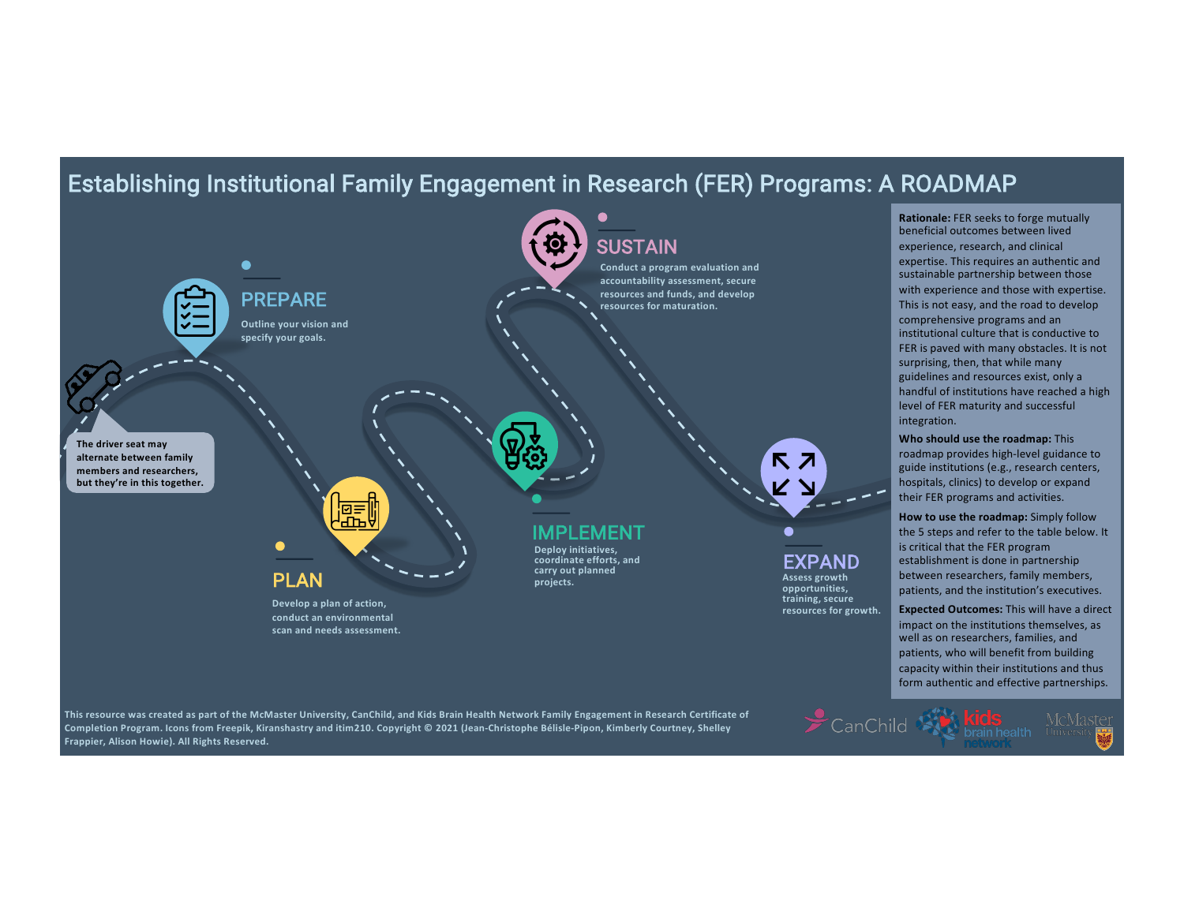## Establishing Institutional Family Engagement in Research (FER) Programs: A ROADMAP



**This resource was created as part of the McMaster University, CanChild, and Kids Brain Health Network Family Engagement in Research Certificate of Completion Program. Icons from Freepik, Kiranshastry and itim210. Copyright © 2021 (Jean-Christophe Bélisle-Pipon, Kimberly Courtney, Shelley Frappier, Alison Howie). All Rights Reserved.**

CanChild Strain health McMaster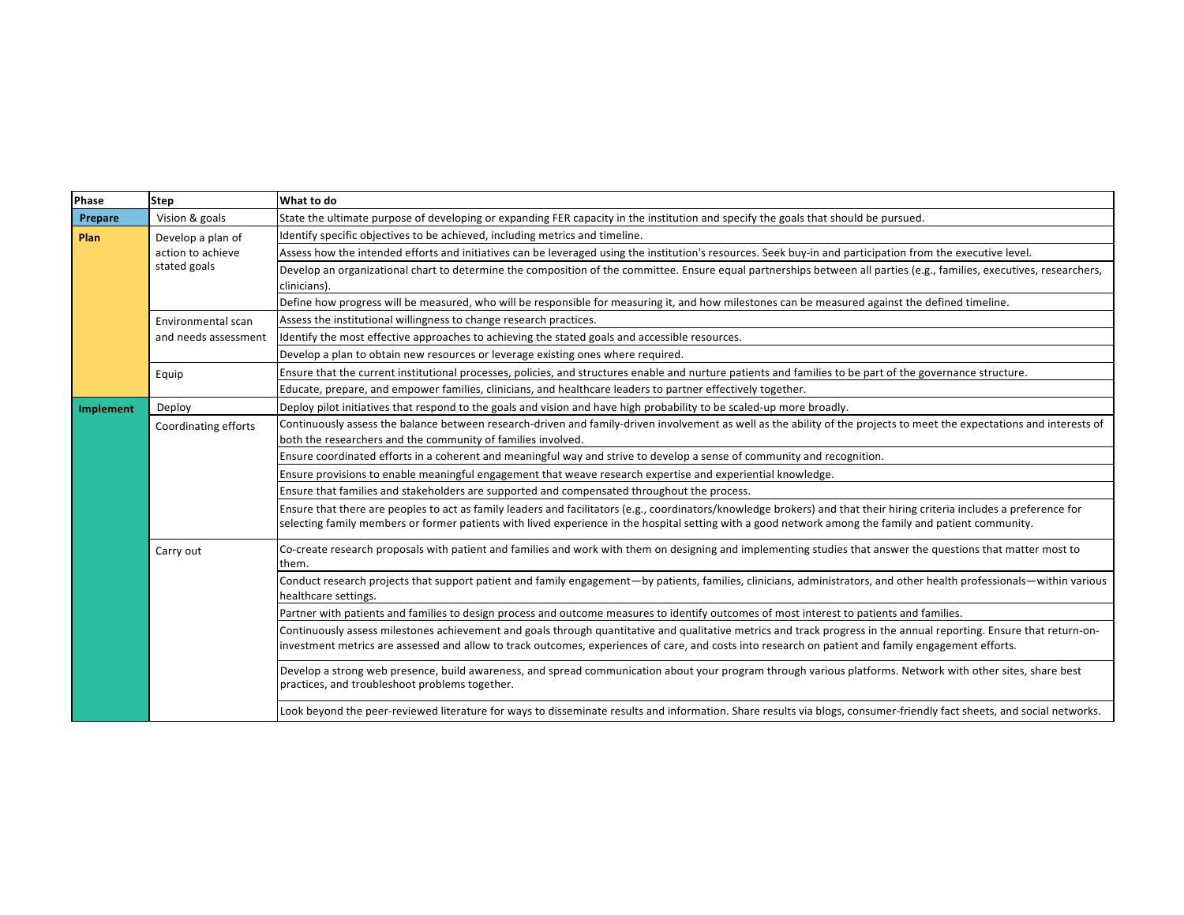| Phase     | <b>Step</b>                                            | What to do                                                                                                                                                                                                                                                                                                                       |
|-----------|--------------------------------------------------------|----------------------------------------------------------------------------------------------------------------------------------------------------------------------------------------------------------------------------------------------------------------------------------------------------------------------------------|
| Prepare   | Vision & goals                                         | State the ultimate purpose of developing or expanding FER capacity in the institution and specify the goals that should be pursued.                                                                                                                                                                                              |
| Plan      | Develop a plan of<br>action to achieve<br>stated goals | Identify specific objectives to be achieved, including metrics and timeline.                                                                                                                                                                                                                                                     |
|           |                                                        | Assess how the intended efforts and initiatives can be leveraged using the institution's resources. Seek buy-in and participation from the executive level.                                                                                                                                                                      |
|           |                                                        | Develop an organizational chart to determine the composition of the committee. Ensure equal partnerships between all parties (e.g., families, executives, researchers,<br>clinicians).                                                                                                                                           |
|           |                                                        | Define how progress will be measured, who will be responsible for measuring it, and how milestones can be measured against the defined timeline.                                                                                                                                                                                 |
|           | Environmental scan<br>and needs assessment             | Assess the institutional willingness to change research practices.                                                                                                                                                                                                                                                               |
|           |                                                        | Identify the most effective approaches to achieving the stated goals and accessible resources.                                                                                                                                                                                                                                   |
|           |                                                        | Develop a plan to obtain new resources or leverage existing ones where required.                                                                                                                                                                                                                                                 |
|           | Equip                                                  | Ensure that the current institutional processes, policies, and structures enable and nurture patients and families to be part of the governance structure.                                                                                                                                                                       |
|           |                                                        | Educate, prepare, and empower families, clinicians, and healthcare leaders to partner effectively together.                                                                                                                                                                                                                      |
| Implement | Deploy                                                 | Deploy pilot initiatives that respond to the goals and vision and have high probability to be scaled-up more broadly.                                                                                                                                                                                                            |
|           | Coordinating efforts                                   | Continuously assess the balance between research-driven and family-driven involvement as well as the ability of the projects to meet the expectations and interests of<br>both the researchers and the community of families involved.                                                                                           |
|           |                                                        | Ensure coordinated efforts in a coherent and meaningful way and strive to develop a sense of community and recognition.                                                                                                                                                                                                          |
|           |                                                        | Ensure provisions to enable meaningful engagement that weave research expertise and experiential knowledge.                                                                                                                                                                                                                      |
|           |                                                        | Ensure that families and stakeholders are supported and compensated throughout the process.                                                                                                                                                                                                                                      |
|           |                                                        | Ensure that there are peoples to act as family leaders and facilitators (e.g., coordinators/knowledge brokers) and that their hiring criteria includes a preference for<br>selecting family members or former patients with lived experience in the hospital setting with a good network among the family and patient community. |
|           | Carry out                                              | Co-create research proposals with patient and families and work with them on designing and implementing studies that answer the questions that matter most to<br>lthem.                                                                                                                                                          |
|           |                                                        | Conduct research projects that support patient and family engagement—by patients, families, clinicians, administrators, and other health professionals—within various<br>healthcare settings.                                                                                                                                    |
|           |                                                        | Partner with patients and families to design process and outcome measures to identify outcomes of most interest to patients and families.                                                                                                                                                                                        |
|           |                                                        | Continuously assess milestones achievement and goals through quantitative and qualitative metrics and track progress in the annual reporting. Ensure that return-on-<br>investment metrics are assessed and allow to track outcomes, experiences of care, and costs into research on patient and family engagement efforts.      |
|           |                                                        | Develop a strong web presence, build awareness, and spread communication about your program through various platforms. Network with other sites, share best<br>practices, and troubleshoot problems together.                                                                                                                    |
|           |                                                        | Look beyond the peer-reviewed literature for ways to disseminate results and information. Share results via blogs, consumer-friendly fact sheets, and social networks.                                                                                                                                                           |